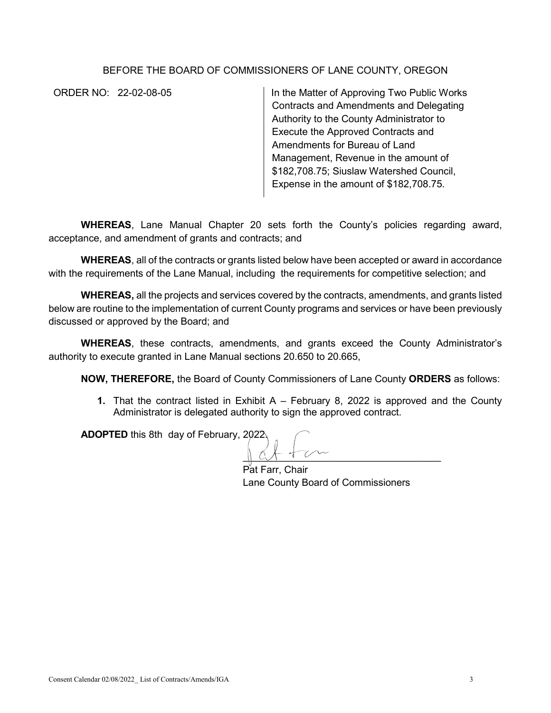## BEFORE THE BOARD OF COMMISSIONERS OF LANE COUNTY, OREGON

ORDER NO: 22-02-08-05 In the Matter of Approving Two Public Works Contracts and Amendments and Delegating Authority to the County Administrator to Execute the Approved Contracts and Amendments for Bureau of Land Management, Revenue in the amount of \$182,708.75; Siuslaw Watershed Council, Expense in the amount of \$182,708.75.

**WHEREAS**, Lane Manual Chapter 20 sets forth the County's policies regarding award, acceptance, and amendment of grants and contracts; and

**WHEREAS**, all of the contracts or grants listed below have been accepted or award in accordance with the requirements of the Lane Manual, including the requirements for competitive selection; and

**WHEREAS,** all the projects and services covered by the contracts, amendments, and grants listed below are routine to the implementation of current County programs and services or have been previously discussed or approved by the Board; and

**WHEREAS**, these contracts, amendments, and grants exceed the County Administrator's authority to execute granted in Lane Manual sections 20.650 to 20.665,

**NOW, THEREFORE,** the Board of County Commissioners of Lane County **ORDERS** as follows:

**1.** That the contract listed in Exhibit A – February 8, 2022 is approved and the County Administrator is delegated authority to sign the approved contract.

**ADOPTED** this 8th day of February, 2022.

 $\parallel$  C  $\uparrow$  1

Pat Farr, Chair Lane County Board of Commissioners